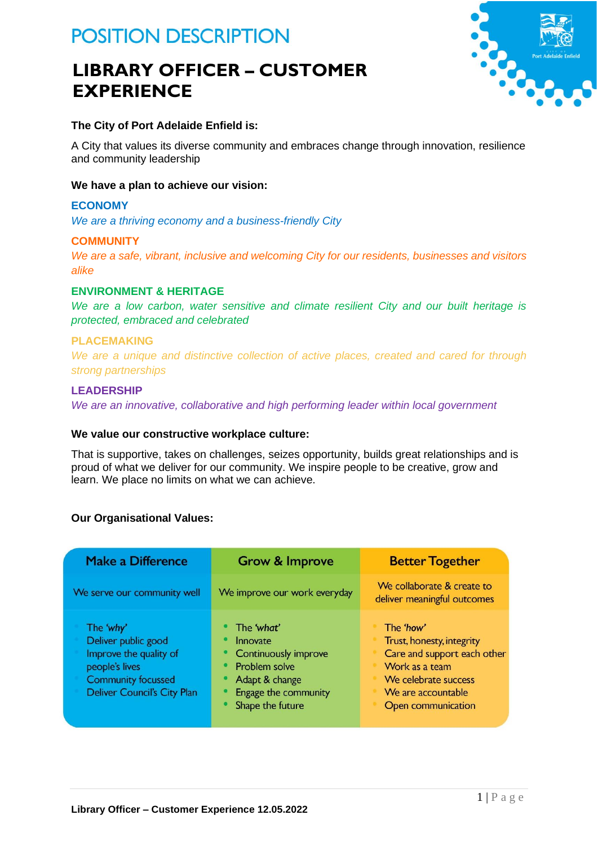# **POSITION DESCRIPTION**

# **LIBRARY OFFICER – CUSTOMER EXPERIENCE**



# **The City of Port Adelaide Enfield is:**

A City that values its diverse community and embraces change through innovation, resilience and community leadership

### **We have a plan to achieve our vision:**

### **ECONOMY**

*We are a thriving economy and a business-friendly City*

### **COMMUNITY**

*We are a safe, vibrant, inclusive and welcoming City for our residents, businesses and visitors alike*

# **ENVIRONMENT & HERITAGE**

*We are a low carbon, water sensitive and climate resilient City and our built heritage is protected, embraced and celebrated*

### **PLACEMAKING**

*We are a unique and distinctive collection of active places, created and cared for through strong partnerships*

## **LEADERSHIP**

*We are an innovative, collaborative and high performing leader within local government*

### **We value our constructive workplace culture:**

That is supportive, takes on challenges, seizes opportunity, builds great relationships and is proud of what we deliver for our community. We inspire people to be creative, grow and learn. We place no limits on what we can achieve.

### **Our Organisational Values:**

| <b>Make a Difference</b>                                                                                                                        | <b>Grow &amp; Improve</b>                                                                                                            | <b>Better Together</b>                                                                                                                                      |
|-------------------------------------------------------------------------------------------------------------------------------------------------|--------------------------------------------------------------------------------------------------------------------------------------|-------------------------------------------------------------------------------------------------------------------------------------------------------------|
| We serve our community well                                                                                                                     | We improve our work everyday                                                                                                         | We collaborate & create to<br>deliver meaningful outcomes                                                                                                   |
| The 'why'<br>Deliver public good<br>Improve the quality of<br>people's lives<br><b>Community focussed</b><br><b>Deliver Council's City Plan</b> | The 'what'<br>Innovate<br><b>Continuously improve</b><br>Problem solve<br>Adapt & change<br>Engage the community<br>Shape the future | The 'how'<br>Trust, honesty, integrity<br>Care and support each other<br>Work as a team<br>We celebrate success<br>We are accountable<br>Open communication |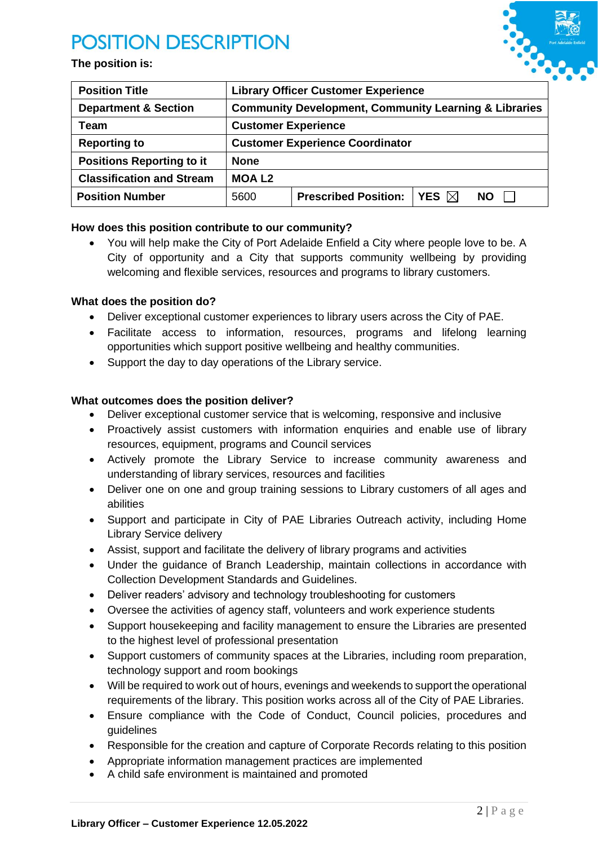# **POSITION DESCRIPTION**





| <b>Position Title</b>            | <b>Library Officer Customer Experience</b>                       |                             |                 |           |
|----------------------------------|------------------------------------------------------------------|-----------------------------|-----------------|-----------|
| <b>Department &amp; Section</b>  | <b>Community Development, Community Learning &amp; Libraries</b> |                             |                 |           |
| Team                             | <b>Customer Experience</b>                                       |                             |                 |           |
| <b>Reporting to</b>              | <b>Customer Experience Coordinator</b>                           |                             |                 |           |
| <b>Positions Reporting to it</b> | <b>None</b>                                                      |                             |                 |           |
| <b>Classification and Stream</b> | <b>MOAL2</b>                                                     |                             |                 |           |
| <b>Position Number</b>           | 5600                                                             | <b>Prescribed Position:</b> | YES $\boxtimes$ | <b>NO</b> |

# **How does this position contribute to our community?**

• You will help make the City of Port Adelaide Enfield a City where people love to be. A City of opportunity and a City that supports community wellbeing by providing welcoming and flexible services, resources and programs to library customers.

### **What does the position do?**

- Deliver exceptional customer experiences to library users across the City of PAE.
- Facilitate access to information, resources, programs and lifelong learning opportunities which support positive wellbeing and healthy communities.
- Support the day to day operations of the Library service.

### **What outcomes does the position deliver?**

- Deliver exceptional customer service that is welcoming, responsive and inclusive
- Proactively assist customers with information enquiries and enable use of library resources, equipment, programs and Council services
- Actively promote the Library Service to increase community awareness and understanding of library services, resources and facilities
- Deliver one on one and group training sessions to Library customers of all ages and abilities
- Support and participate in City of PAE Libraries Outreach activity, including Home Library Service delivery
- Assist, support and facilitate the delivery of library programs and activities
- Under the guidance of Branch Leadership, maintain collections in accordance with Collection Development Standards and Guidelines.
- Deliver readers' advisory and technology troubleshooting for customers
- Oversee the activities of agency staff, volunteers and work experience students
- Support housekeeping and facility management to ensure the Libraries are presented to the highest level of professional presentation
- Support customers of community spaces at the Libraries, including room preparation, technology support and room bookings
- Will be required to work out of hours, evenings and weekends to support the operational requirements of the library. This position works across all of the City of PAE Libraries.
- Ensure compliance with the Code of Conduct, Council policies, procedures and guidelines
- Responsible for the creation and capture of Corporate Records relating to this position
- Appropriate information management practices are implemented
- A child safe environment is maintained and promoted